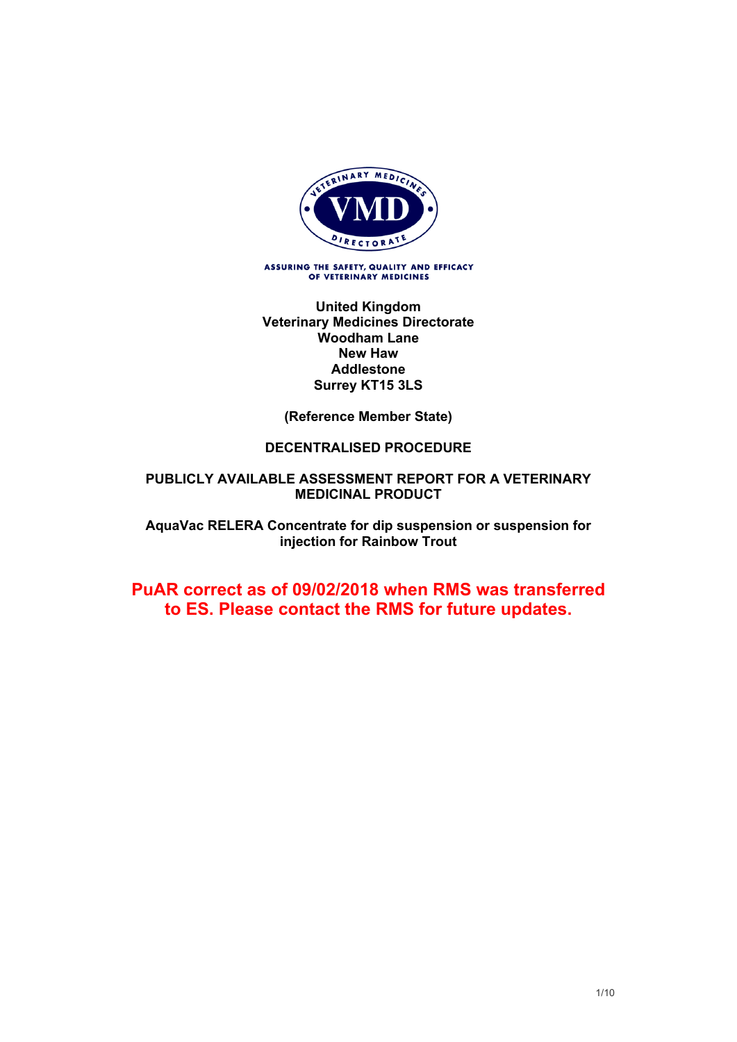

ASSURING THE SAFETY, QUALITY AND EFFICACY OF VETERINARY MEDICINES

**United Kingdom Veterinary Medicines Directorate Woodham Lane New Haw Addlestone Surrey KT15 3LS**

**(Reference Member State)**

# **DECENTRALISED PROCEDURE**

# **PUBLICLY AVAILABLE ASSESSMENT REPORT FOR A VETERINARY MEDICINAL PRODUCT**

**AquaVac RELERA Concentrate for dip suspension or suspension for injection for Rainbow Trout**

# **PuAR correct as of 09/02/2018 when RMS was transferred to ES. Please contact the RMS for future updates.**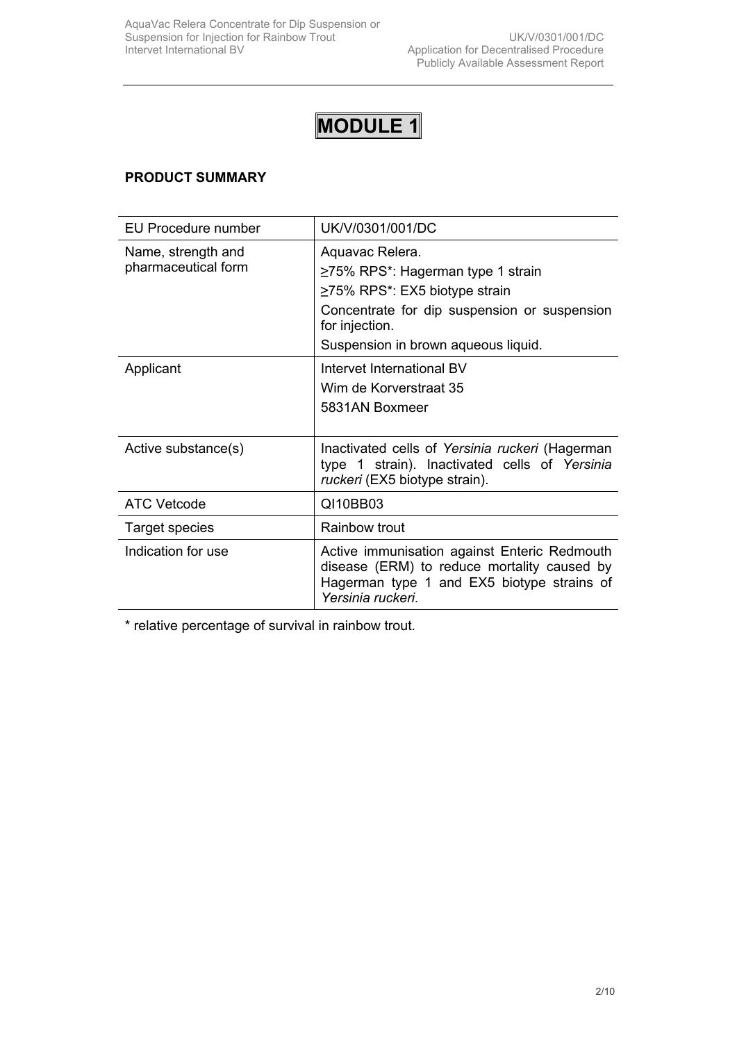# **MODULE 1**

# **PRODUCT SUMMARY**

| EU Procedure number                       | UK/V/0301/001/DC                                                                                                                                                                                           |
|-------------------------------------------|------------------------------------------------------------------------------------------------------------------------------------------------------------------------------------------------------------|
| Name, strength and<br>pharmaceutical form | Aquavac Relera.<br>$\geq$ 75% RPS*: Hagerman type 1 strain<br>$\geq$ 75% RPS*: EX5 biotype strain<br>Concentrate for dip suspension or suspension<br>for injection.<br>Suspension in brown aqueous liquid. |
| Applicant                                 | Intervet International BV<br>Wim de Korverstraat 35<br>5831AN Boxmeer                                                                                                                                      |
| Active substance(s)                       | Inactivated cells of Yersinia ruckeri (Hagerman<br>type 1 strain). Inactivated cells of Yersinia<br>ruckeri (EX5 biotype strain).                                                                          |
| ATC Vetcode                               | QI10BB03                                                                                                                                                                                                   |
| Target species                            | Rainbow trout                                                                                                                                                                                              |
| Indication for use                        | Active immunisation against Enteric Redmouth<br>disease (ERM) to reduce mortality caused by<br>Hagerman type 1 and EX5 biotype strains of<br>Yersinia ruckeri.                                             |

\* relative percentage of survival in rainbow trout.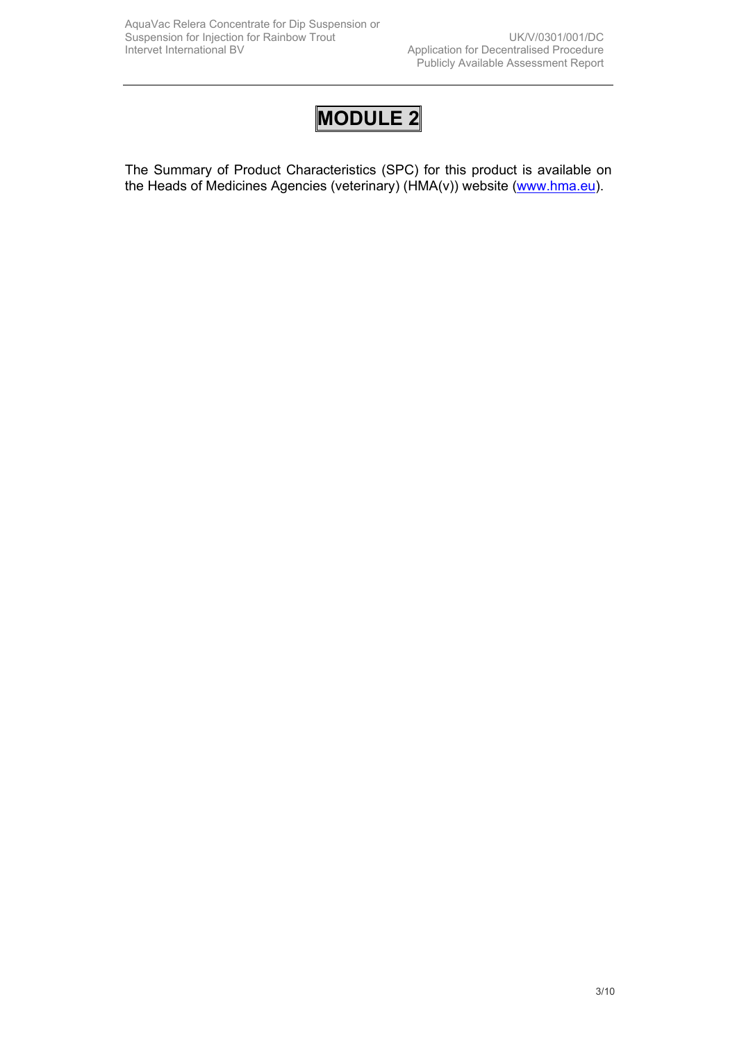# **MODULE 2**

The Summary of Product Characteristics (SPC) for this product is available on the Heads of Medicines Agencies (veterinary) (HMA(v)) website ([www.hma.eu](http://www.hma.eu/)).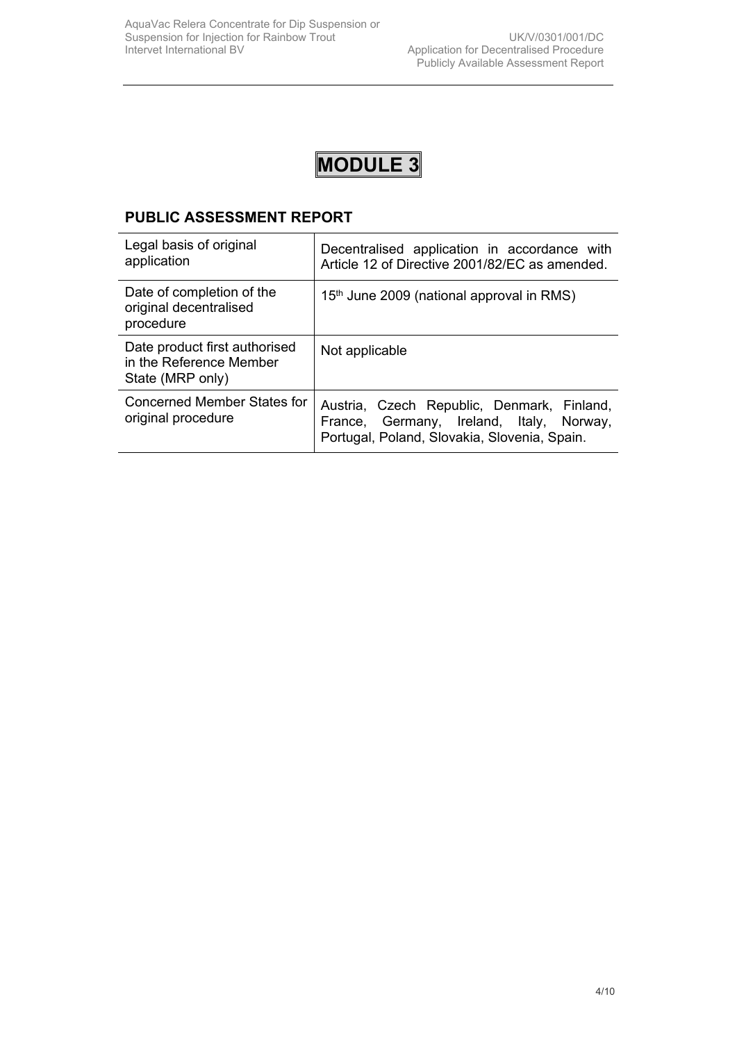

# **PUBLIC ASSESSMENT REPORT**

| Legal basis of original<br>application                                       | Decentralised application in accordance with<br>Article 12 of Directive 2001/82/EC as amended.                                         |
|------------------------------------------------------------------------------|----------------------------------------------------------------------------------------------------------------------------------------|
| Date of completion of the<br>original decentralised<br>procedure             | 15 <sup>th</sup> June 2009 (national approval in RMS)                                                                                  |
| Date product first authorised<br>in the Reference Member<br>State (MRP only) | Not applicable                                                                                                                         |
| Concerned Member States for<br>original procedure                            | Austria, Czech Republic, Denmark, Finland,<br>France, Germany, Ireland, Italy, Norway,<br>Portugal, Poland, Slovakia, Slovenia, Spain. |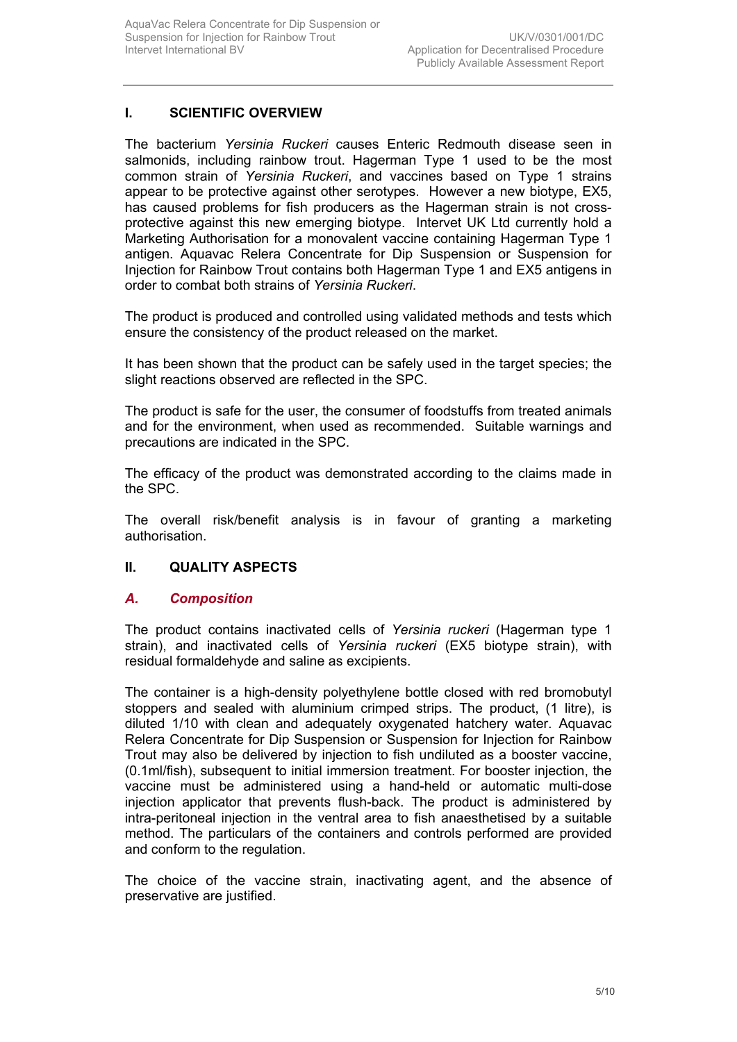# **I. SCIENTIFIC OVERVIEW**

The bacterium *Yersinia Ruckeri* causes Enteric Redmouth disease seen in salmonids, including rainbow trout. Hagerman Type 1 used to be the most common strain of *Yersinia Ruckeri*, and vaccines based on Type 1 strains appear to be protective against other serotypes. However a new biotype, EX5, has caused problems for fish producers as the Hagerman strain is not crossprotective against this new emerging biotype. Intervet UK Ltd currently hold a Marketing Authorisation for a monovalent vaccine containing Hagerman Type 1 antigen. Aquavac Relera Concentrate for Dip Suspension or Suspension for Injection for Rainbow Trout contains both Hagerman Type 1 and EX5 antigens in order to combat both strains of *Yersinia Ruckeri*.

The product is produced and controlled using validated methods and tests which ensure the consistency of the product released on the market.

It has been shown that the product can be safely used in the target species; the slight reactions observed are reflected in the SPC.

The product is safe for the user, the consumer of foodstuffs from treated animals and for the environment, when used as recommended. Suitable warnings and precautions are indicated in the SPC.

The efficacy of the product was demonstrated according to the claims made in the SPC.

The overall risk/benefit analysis is in favour of granting a marketing authorisation.

# **II. QUALITY ASPECTS**

# *A. Composition*

The product contains inactivated cells of *Yersinia ruckeri* (Hagerman type 1 strain), and inactivated cells of *Yersinia ruckeri* (EX5 biotype strain), with residual formaldehyde and saline as excipients.

The container is a high-density polyethylene bottle closed with red bromobutyl stoppers and sealed with aluminium crimped strips. The product, (1 litre), is diluted 1/10 with clean and adequately oxygenated hatchery water. Aquavac Relera Concentrate for Dip Suspension or Suspension for Injection for Rainbow Trout may also be delivered by injection to fish undiluted as a booster vaccine, (0.1ml/fish), subsequent to initial immersion treatment. For booster injection, the vaccine must be administered using a hand-held or automatic multi-dose injection applicator that prevents flush-back. The product is administered by intra-peritoneal injection in the ventral area to fish anaesthetised by a suitable method. The particulars of the containers and controls performed are provided and conform to the regulation.

The choice of the vaccine strain, inactivating agent, and the absence of preservative are justified.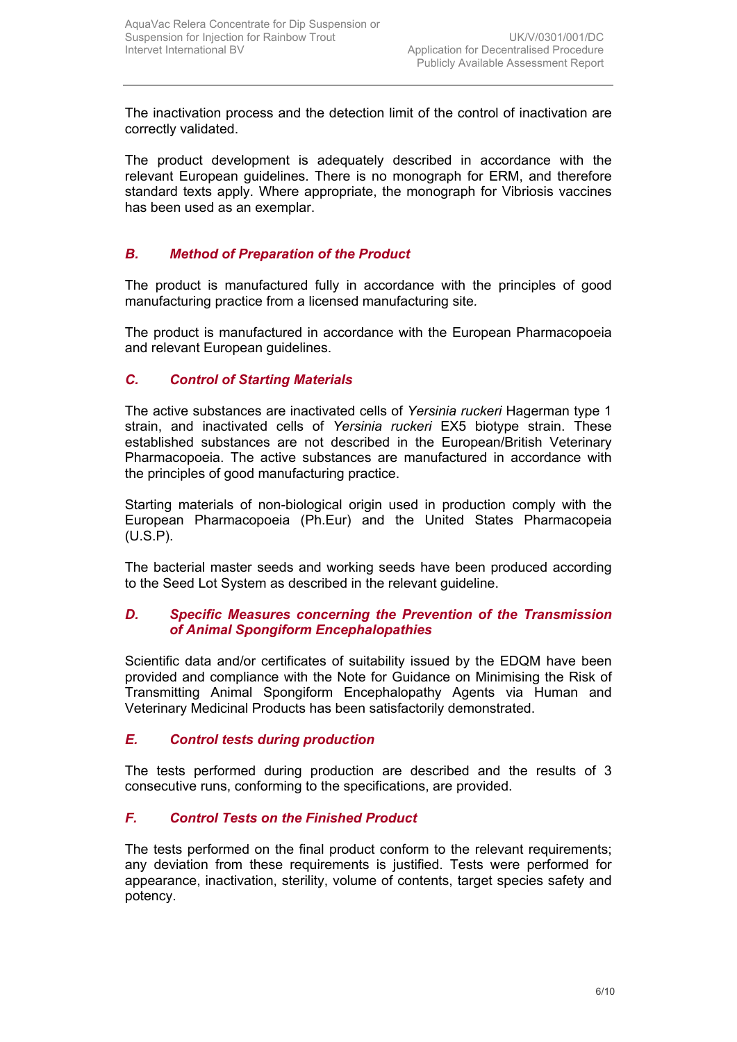The inactivation process and the detection limit of the control of inactivation are correctly validated.

The product development is adequately described in accordance with the relevant European guidelines. There is no monograph for ERM, and therefore standard texts apply. Where appropriate, the monograph for Vibriosis vaccines has been used as an exemplar.

# *B. Method of Preparation of the Product*

The product is manufactured fully in accordance with the principles of good manufacturing practice from a licensed manufacturing site*.*

The product is manufactured in accordance with the European Pharmacopoeia and relevant European guidelines.

# *C. Control of Starting Materials*

The active substances are inactivated cells of *Yersinia ruckeri* Hagerman type 1 strain, and inactivated cells of *Yersinia ruckeri* EX5 biotype strain. These established substances are not described in the European/British Veterinary Pharmacopoeia. The active substances are manufactured in accordance with the principles of good manufacturing practice.

Starting materials of non-biological origin used in production comply with the European Pharmacopoeia (Ph.Eur) and the United States Pharmacopeia (U.S.P).

The bacterial master seeds and working seeds have been produced according to the Seed Lot System as described in the relevant guideline.

# *D. Specific Measures concerning the Prevention of the Transmission of Animal Spongiform Encephalopathies*

Scientific data and/or certificates of suitability issued by the EDQM have been provided and compliance with the Note for Guidance on Minimising the Risk of Transmitting Animal Spongiform Encephalopathy Agents via Human and Veterinary Medicinal Products has been satisfactorily demonstrated.

# *E. Control tests during production*

The tests performed during production are described and the results of 3 consecutive runs, conforming to the specifications, are provided.

# *F. Control Tests on the Finished Product*

The tests performed on the final product conform to the relevant requirements; any deviation from these requirements is justified. Tests were performed for appearance, inactivation, sterility, volume of contents, target species safety and potency.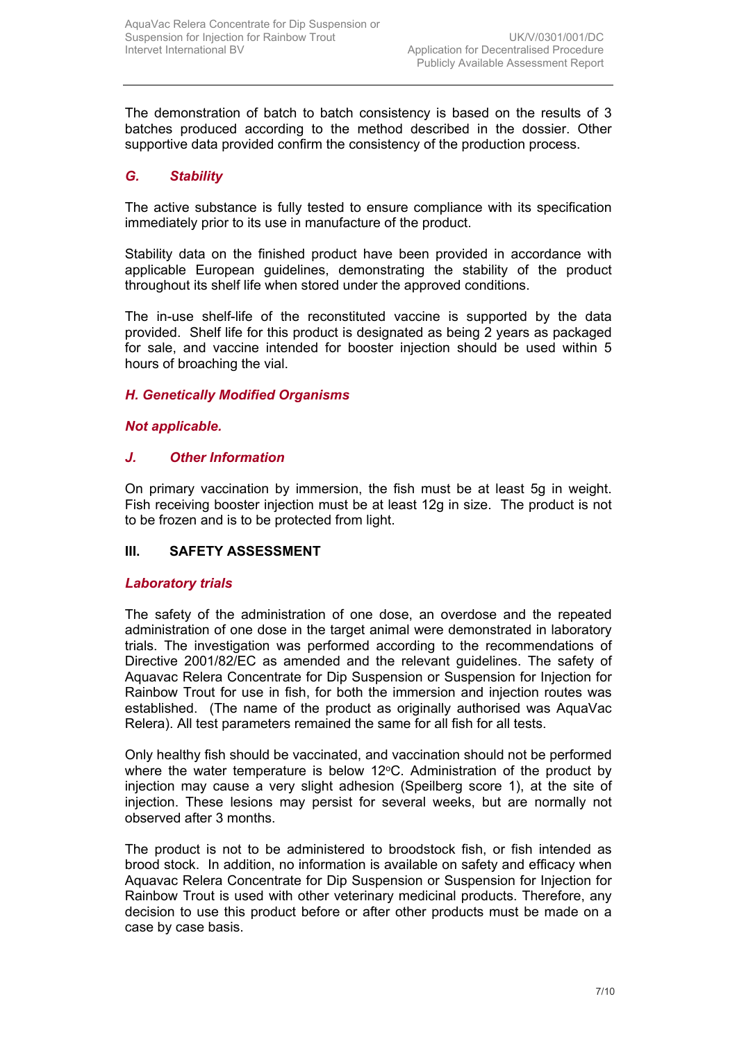The demonstration of batch to batch consistency is based on the results of 3 batches produced according to the method described in the dossier. Other supportive data provided confirm the consistency of the production process.

# *G. Stability*

The active substance is fully tested to ensure compliance with its specification immediately prior to its use in manufacture of the product.

Stability data on the finished product have been provided in accordance with applicable European guidelines, demonstrating the stability of the product throughout its shelf life when stored under the approved conditions.

The in-use shelf-life of the reconstituted vaccine is supported by the data provided. Shelf life for this product is designated as being 2 years as packaged for sale, and vaccine intended for booster injection should be used within 5 hours of broaching the vial.

# *H. Genetically Modified Organisms*

# *Not applicable.*

# *J. Other Information*

On primary vaccination by immersion, the fish must be at least 5g in weight. Fish receiving booster injection must be at least 12g in size. The product is not to be frozen and is to be protected from light.

# **III. SAFETY ASSESSMENT**

# *Laboratory trials*

The safety of the administration of one dose, an overdose and the repeated administration of one dose in the target animal were demonstrated in laboratory trials. The investigation was performed according to the recommendations of Directive 2001/82/EC as amended and the relevant guidelines. The safety of Aquavac Relera Concentrate for Dip Suspension or Suspension for Injection for Rainbow Trout for use in fish, for both the immersion and injection routes was established. (The name of the product as originally authorised was AquaVac Relera). All test parameters remained the same for all fish for all tests.

Only healthy fish should be vaccinated, and vaccination should not be performed where the water temperature is below  $12^{\circ}$ C. Administration of the product by injection may cause a very slight adhesion (Speilberg score 1), at the site of injection. These lesions may persist for several weeks, but are normally not observed after 3 months.

The product is not to be administered to broodstock fish, or fish intended as brood stock. In addition, no information is available on safety and efficacy when Aquavac Relera Concentrate for Dip Suspension or Suspension for Injection for Rainbow Trout is used with other veterinary medicinal products. Therefore, any decision to use this product before or after other products must be made on a case by case basis.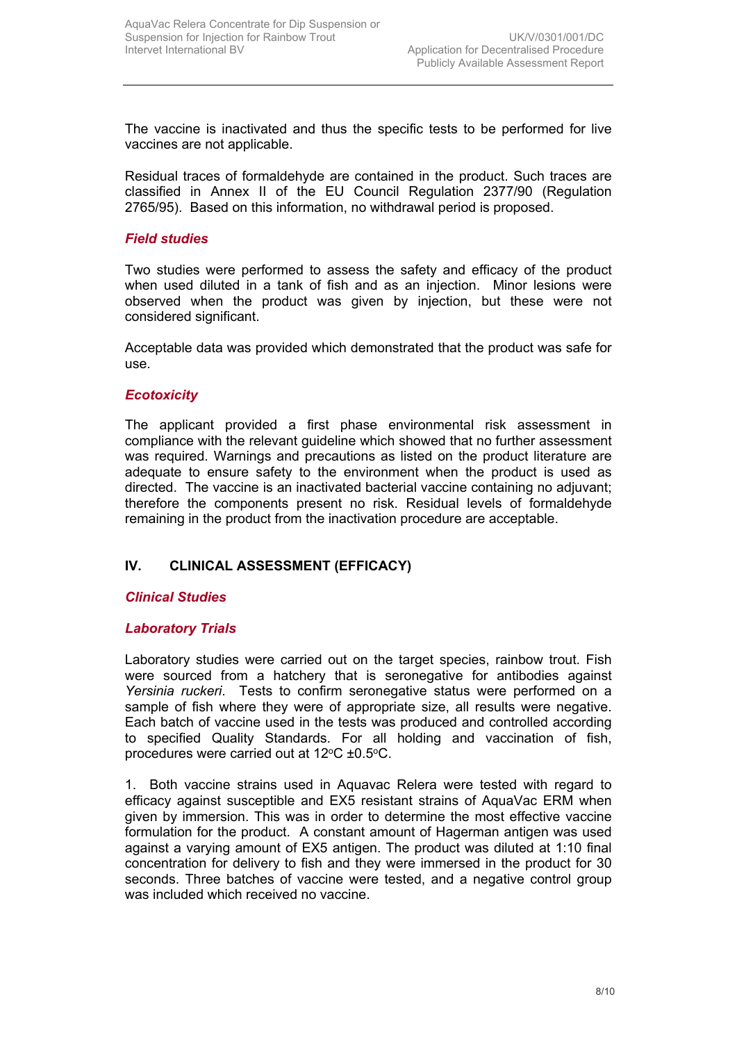The vaccine is inactivated and thus the specific tests to be performed for live vaccines are not applicable.

Residual traces of formaldehyde are contained in the product. Such traces are classified in Annex II of the EU Council Regulation 2377/90 (Regulation 2765/95). Based on this information, no withdrawal period is proposed.

#### *Field studies*

Two studies were performed to assess the safety and efficacy of the product when used diluted in a tank of fish and as an injection. Minor lesions were observed when the product was given by injection, but these were not considered significant.

Acceptable data was provided which demonstrated that the product was safe for use.

#### *Ecotoxicity*

The applicant provided a first phase environmental risk assessment in compliance with the relevant guideline which showed that no further assessment was required. Warnings and precautions as listed on the product literature are adequate to ensure safety to the environment when the product is used as directed. The vaccine is an inactivated bacterial vaccine containing no adjuvant; therefore the components present no risk. Residual levels of formaldehyde remaining in the product from the inactivation procedure are acceptable.

# **IV. CLINICAL ASSESSMENT (EFFICACY)**

# *Clinical Studies*

#### *Laboratory Trials*

Laboratory studies were carried out on the target species, rainbow trout. Fish were sourced from a hatchery that is seronegative for antibodies against *Yersinia ruckeri*. Tests to confirm seronegative status were performed on a sample of fish where they were of appropriate size, all results were negative. Each batch of vaccine used in the tests was produced and controlled according to specified Quality Standards. For all holding and vaccination of fish, procedures were carried out at  $12^{\circ}$ C  $\pm$ 0.5 $^{\circ}$ C.

1. Both vaccine strains used in Aquavac Relera were tested with regard to efficacy against susceptible and EX5 resistant strains of AquaVac ERM when given by immersion. This was in order to determine the most effective vaccine formulation for the product. A constant amount of Hagerman antigen was used against a varying amount of EX5 antigen. The product was diluted at 1:10 final concentration for delivery to fish and they were immersed in the product for 30 seconds. Three batches of vaccine were tested, and a negative control group was included which received no vaccine.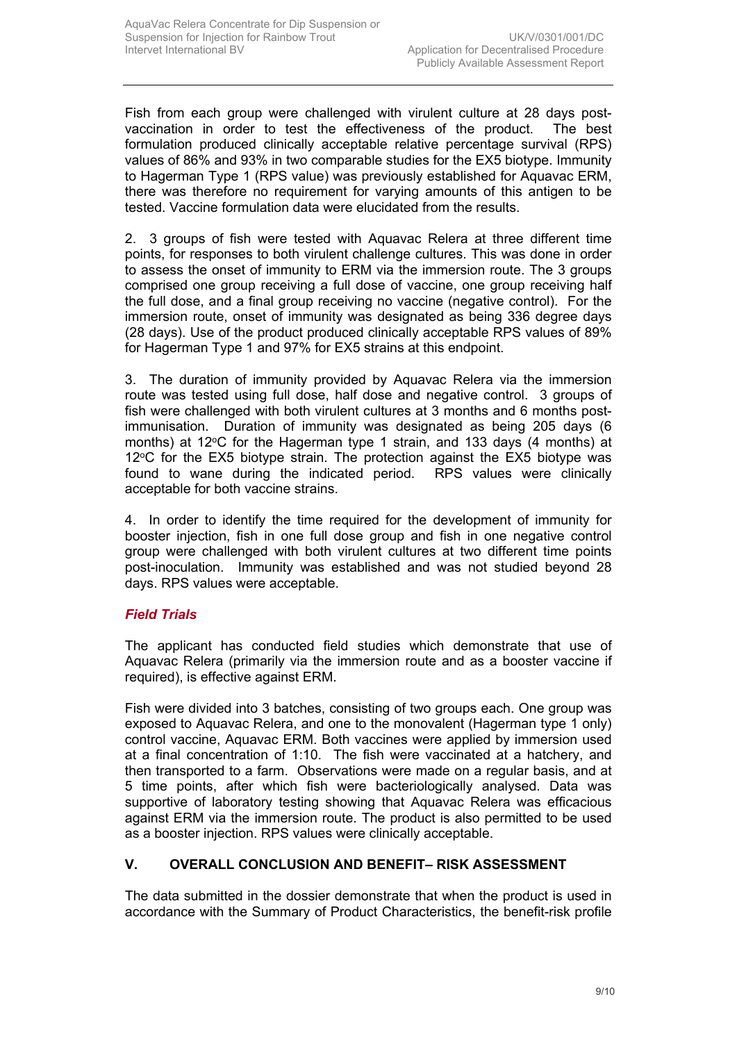Fish from each group were challenged with virulent culture at 28 days postvaccination in order to test the effectiveness of the product. The best formulation produced clinically acceptable relative percentage survival (RPS) values of 86% and 93% in two comparable studies for the EX5 biotype. Immunity to Hagerman Type 1 (RPS value) was previously established for Aquavac ERM, there was therefore no requirement for varying amounts of this antigen to be tested. Vaccine formulation data were elucidated from the results.

2. 3 groups of fish were tested with Aquavac Relera at three different time points, for responses to both virulent challenge cultures. This was done in order to assess the onset of immunity to ERM via the immersion route. The 3 groups comprised one group receiving a full dose of vaccine, one group receiving half the full dose, and a final group receiving no vaccine (negative control). For the immersion route, onset of immunity was designated as being 336 degree days (28 days). Use of the product produced clinically acceptable RPS values of 89% for Hagerman Type 1 and 97% for EX5 strains at this endpoint.

3. The duration of immunity provided by Aquavac Relera via the immersion route was tested using full dose, half dose and negative control. 3 groups of fish were challenged with both virulent cultures at 3 months and 6 months postimmunisation. Duration of immunity was designated as being 205 days (6 months) at 12 $\degree$ C for the Hagerman type 1 strain, and 133 days (4 months) at  $12^{\circ}$ C for the EX5 biotype strain. The protection against the EX5 biotype was found to wane during the indicated period. RPS values were clinically acceptable for both vaccine strains.

4. In order to identify the time required for the development of immunity for booster injection, fish in one full dose group and fish in one negative control group were challenged with both virulent cultures at two different time points post-inoculation. Immunity was established and was not studied beyond 28 days. RPS values were acceptable.

# *Field Trials*

The applicant has conducted field studies which demonstrate that use of Aquavac Relera (primarily via the immersion route and as a booster vaccine if required), is effective against ERM.

Fish were divided into 3 batches, consisting of two groups each. One group was exposed to Aquavac Relera, and one to the monovalent (Hagerman type 1 only) control vaccine, Aquavac ERM. Both vaccines were applied by immersion used at a final concentration of 1:10. The fish were vaccinated at a hatchery, and then transported to a farm. Observations were made on a regular basis, and at 5 time points, after which fish were bacteriologically analysed. Data was supportive of laboratory testing showing that Aquavac Relera was efficacious against ERM via the immersion route. The product is also permitted to be used as a booster injection. RPS values were clinically acceptable.

# **V. OVERALL CONCLUSION AND BENEFIT– RISK ASSESSMENT**

The data submitted in the dossier demonstrate that when the product is used in accordance with the Summary of Product Characteristics, the benefit-risk profile